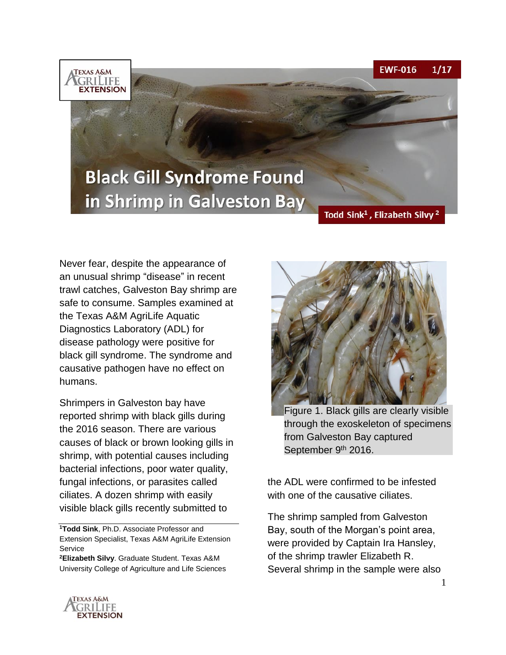**EWF-016**  $1/17$ 



# **Black Gill Syndrome Found** in Shrimp in Galveston Bay

#### Todd Sink<sup>1</sup>, Elizabeth Silvy<sup>2</sup>

Never fear, despite the appearance of an unusual shrimp "disease" in recent trawl catches, Galveston Bay shrimp are safe to consume. Samples examined at the Texas A&M AgriLife Aquatic Diagnostics Laboratory (ADL) for disease pathology were positive for black gill syndrome. The syndrome and causative pathogen have no effect on humans.

Shrimpers in Galveston bay have reported shrimp with black gills during the 2016 season. There are various causes of black or brown looking gills in shrimp, with potential causes including bacterial infections, poor water quality, fungal infections, or parasites called ciliates. A dozen shrimp with easily visible black gills recently submitted to

**<sup>1</sup>Todd Sink**, Ph.D. Associate Professor and Extension Specialist, Texas A&M AgriLife Extension **Service** 

**<sup>2</sup>Elizabeth Silvy**. Graduate Student. Texas A&M University College of Agriculture and Life Sciences



Figure 1. Black gills are clearly visible through the exoskeleton of specimens from Galveston Bay captured September 9th 2016.

the ADL were confirmed to be infested with one of the causative ciliates.

The shrimp sampled from Galveston Bay, south of the Morgan's point area, were provided by Captain Ira Hansley, of the shrimp trawler Elizabeth R. Several shrimp in the sample were also



1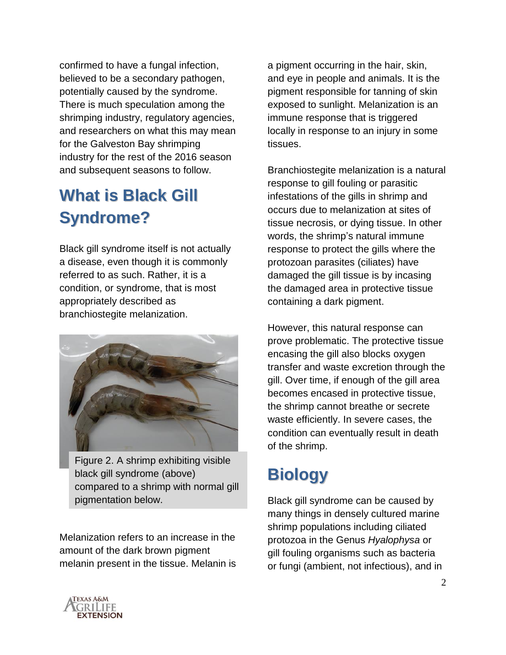confirmed to have a fungal infection, believed to be a secondary pathogen, potentially caused by the syndrome. There is much speculation among the shrimping industry, regulatory agencies, and researchers on what this may mean for the Galveston Bay shrimping industry for the rest of the 2016 season and subsequent seasons to follow.

#### **What is Black Gill Syndrome?**

Black gill syndrome itself is not actually a disease, even though it is commonly referred to as such. Rather, it is a condition, or syndrome, that is most appropriately described as branchiostegite melanization.



Figure 2. A shrimp exhibiting visible black gill syndrome (above) compared to a shrimp with normal gill pigmentation below.

Melanization refers to an increase in the amount of the dark brown pigment melanin present in the tissue. Melanin is a pigment occurring in the hair, skin, and eye in people and animals. It is the pigment responsible for tanning of skin exposed to sunlight. Melanization is an immune response that is triggered locally in response to an injury in some tissues.

Branchiostegite melanization is a natural response to gill fouling or parasitic infestations of the gills in shrimp and occurs due to melanization at sites of tissue necrosis, or dying tissue. In other words, the shrimp's natural immune response to protect the gills where the protozoan parasites (ciliates) have damaged the gill tissue is by incasing the damaged area in protective tissue containing a dark pigment.

However, this natural response can prove problematic. The protective tissue encasing the gill also blocks oxygen transfer and waste excretion through the gill. Over time, if enough of the gill area becomes encased in protective tissue, the shrimp cannot breathe or secrete waste efficiently. In severe cases, the condition can eventually result in death of the shrimp.

## **Biology**

Black gill syndrome can be caused by many things in densely cultured marine shrimp populations including ciliated protozoa in the Genus *Hyalophysa* or gill fouling organisms such as bacteria or fungi (ambient, not infectious), and in

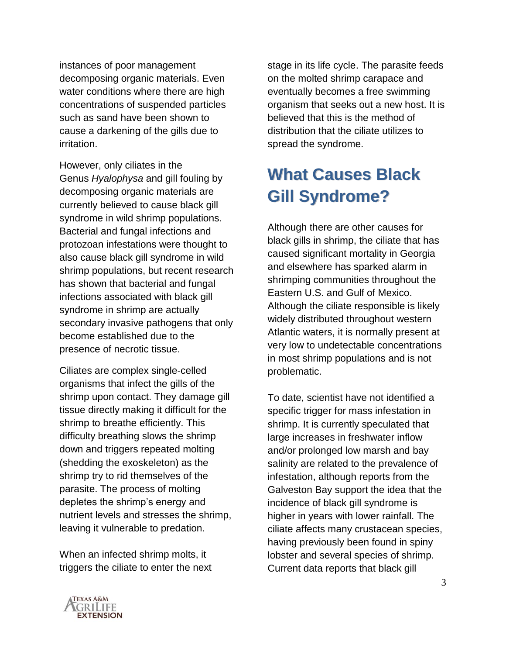instances of poor management decomposing organic materials. Even water conditions where there are high concentrations of suspended particles such as sand have been shown to cause a darkening of the gills due to irritation.

However, only ciliates in the Genus *Hyalophysa* and gill fouling by decomposing organic materials are currently believed to cause black gill syndrome in wild shrimp populations. Bacterial and fungal infections and protozoan infestations were thought to also cause black gill syndrome in wild shrimp populations, but recent research has shown that bacterial and fungal infections associated with black gill syndrome in shrimp are actually secondary invasive pathogens that only become established due to the presence of necrotic tissue.

Ciliates are complex single-celled organisms that infect the gills of the shrimp upon contact. They damage gill tissue directly making it difficult for the shrimp to breathe efficiently. This difficulty breathing slows the shrimp down and triggers repeated molting (shedding the exoskeleton) as the shrimp try to rid themselves of the parasite. The process of molting depletes the shrimp's energy and nutrient levels and stresses the shrimp, leaving it vulnerable to predation.

When an infected shrimp molts, it triggers the ciliate to enter the next



#### **What Causes Black Gill Syndrome?**

Although there are other causes for black gills in shrimp, the ciliate that has caused significant mortality in Georgia and elsewhere has sparked alarm in shrimping communities throughout the Eastern U.S. and Gulf of Mexico. Although the ciliate responsible is likely widely distributed throughout western Atlantic waters, it is normally present at very low to undetectable concentrations in most shrimp populations and is not problematic.

To date, scientist have not identified a specific trigger for mass infestation in shrimp. It is currently speculated that large increases in freshwater inflow and/or prolonged low marsh and bay salinity are related to the prevalence of infestation, although reports from the Galveston Bay support the idea that the incidence of black gill syndrome is higher in years with lower rainfall. The ciliate affects many crustacean species, having previously been found in spiny lobster and several species of shrimp. Current data reports that black gill

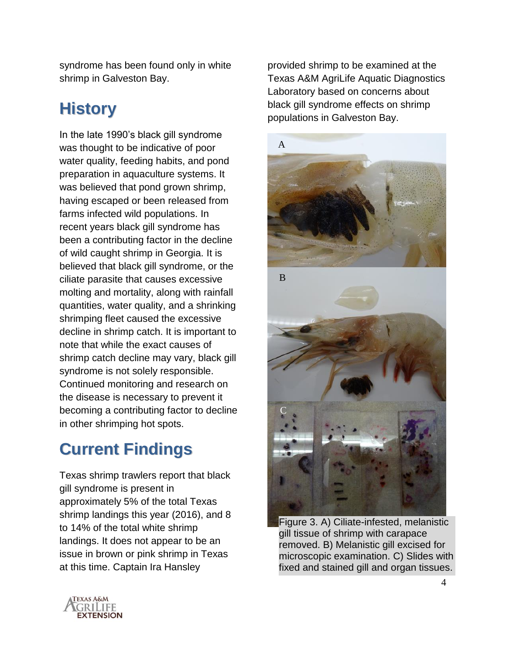syndrome has been found only in white shrimp in Galveston Bay.

## **History**

In the late 1990's black gill syndrome was thought to be indicative of poor water quality, feeding habits, and pond preparation in aquaculture systems. It was believed that pond grown shrimp, having escaped or been released from farms infected wild populations. In recent years black gill syndrome has been a contributing factor in the decline of wild caught shrimp in Georgia. It is believed that black gill syndrome, or the ciliate parasite that causes excessive molting and mortality, along with rainfall quantities, water quality, and a shrinking shrimping fleet caused the excessive decline in shrimp catch. It is important to note that while the exact causes of shrimp catch decline may vary, black gill syndrome is not solely responsible. Continued monitoring and research on the disease is necessary to prevent it becoming a contributing factor to decline in other shrimping hot spots.

## **Current Findings**

Texas shrimp trawlers report that black gill syndrome is present in approximately 5% of the total Texas shrimp landings this year (2016), and 8 to 14% of the total white shrimp landings. It does not appear to be an issue in brown or pink shrimp in Texas at this time. Captain Ira Hansley

provided shrimp to be examined at the Texas A&M AgriLife Aquatic Diagnostics Laboratory based on concerns about black gill syndrome effects on shrimp populations in Galveston Bay.



Figure 3. A) Ciliate-infested, melanistic gill tissue of shrimp with carapace removed. B) Melanistic gill excised for microscopic examination. C) Slides with fixed and stained gill and organ tissues.

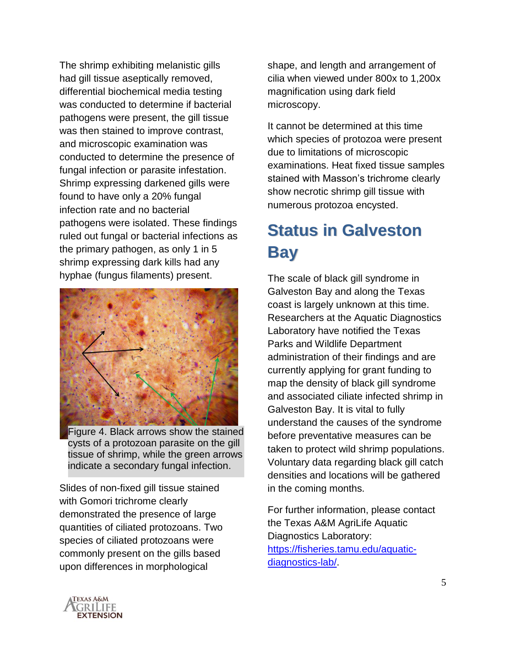The shrimp exhibiting melanistic gills had gill tissue aseptically removed, differential biochemical media testing was conducted to determine if bacterial pathogens were present, the gill tissue was then stained to improve contrast, and microscopic examination was conducted to determine the presence of fungal infection or parasite infestation. Shrimp expressing darkened gills were found to have only a 20% fungal infection rate and no bacterial pathogens were isolated. These findings ruled out fungal or bacterial infections as the primary pathogen, as only 1 in 5 shrimp expressing dark kills had any hyphae (fungus filaments) present.



Figure 4. Black arrows show the stained cysts of a protozoan parasite on the gill tissue of shrimp, while the green arrows indicate a secondary fungal infection.

Slides of non-fixed gill tissue stained with Gomori trichrome clearly demonstrated the presence of large quantities of ciliated protozoans. Two species of ciliated protozoans were commonly present on the gills based upon differences in morphological

shape, and length and arrangement of cilia when viewed under 800x to 1,200x magnification using dark field microscopy.

It cannot be determined at this time which species of protozoa were present due to limitations of microscopic examinations. Heat fixed tissue samples stained with Masson's trichrome clearly show necrotic shrimp gill tissue with numerous protozoa encysted.

### **Status in Galveston Bay**

The scale of black gill syndrome in Galveston Bay and along the Texas coast is largely unknown at this time. Researchers at the Aquatic Diagnostics Laboratory have notified the Texas Parks and Wildlife Department administration of their findings and are currently applying for grant funding to map the density of black gill syndrome and associated ciliate infected shrimp in Galveston Bay. It is vital to fully understand the causes of the syndrome before preventative measures can be taken to protect wild shrimp populations. Voluntary data regarding black gill catch densities and locations will be gathered in the coming months.

For further information, please contact the Texas A&M AgriLife Aquatic Diagnostics Laboratory: [https://fisheries.tamu.edu/aquatic](https://fisheries.tamu.edu/aquatic-diagnostics-lab/)[diagnostics-lab/.](https://fisheries.tamu.edu/aquatic-diagnostics-lab/)